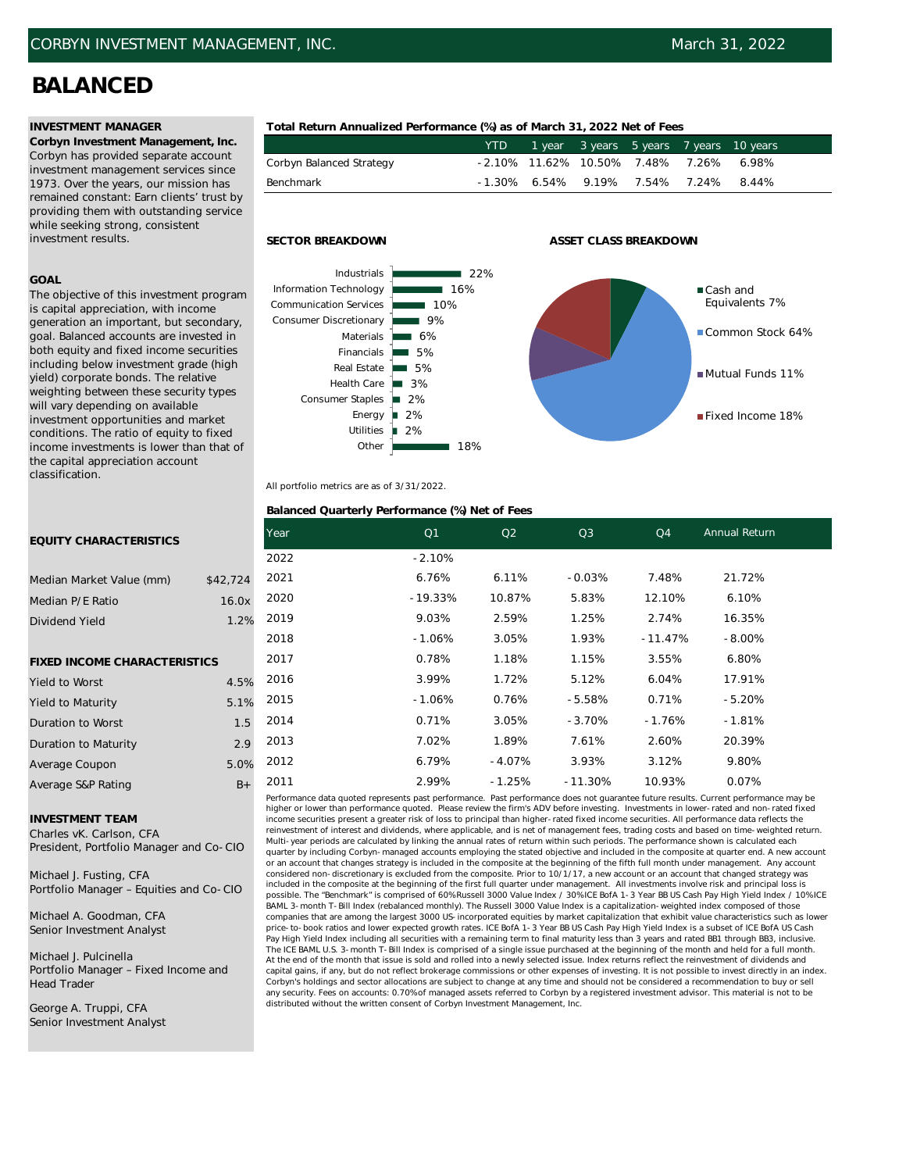■Cash and Equivalents 7%

Common Stock 64%

Mutual Funds 11%

**Fixed Income 18%** 

# **BALANCED**

**Corbyn Investment Management, Inc.** Corbyn has provided separate account investment management services since 1973. Over the years, our mission has remained constant: Earn clients' trust by providing them with outstanding service while seeking strong, consistent investment results.

### **GOAL**

The objective of this investment program is capital appreciation, with income generation an important, but secondary, goal. Balanced accounts are invested in both equity and fixed income securities including below investment grade (high yield) corporate bonds. The relative weighting between these security types will vary depending on available investment opportunities and market conditions. The ratio of equity to fixed income investments is lower than that of the capital appreciation account classification.

### **INVESTMENT MANAGER Total Return Annualized Performance (%) as of March 31, 2022 Net of Fees**

|                          | YTD    |                                  |       | 1 year 3 years 5 years 7 years 10 years |
|--------------------------|--------|----------------------------------|-------|-----------------------------------------|
| Corbyn Balanced Strategy |        | -2.10% 11.62% 10.50% 7.48% 7.26% |       | 6.98%                                   |
| Benchmark                | -1.30% | 6.54% 9.19% 7.54%                | 7.24% | 8.44%                                   |



All portfolio metrics are as of 3/31/2022.

### **Balanced Quarterly Performance (%) Net of Fees**

#### 2022 -2.10% 0.07% Q4 Annual Return 1.93% -11.47% -8.00% 2.74% 6.10% 16.35% 3.55% 7.48% 6.80% 12.10% 2015 -11.30% 2013 2014 2.99% -1.25% 6.79% 7.02% 0.71% 10.93% 3.12% 9.80% 2.60% 20.39% 2017 1.72% 5.12% 6.04% 17.91% 3.05% -3.70% -1.76% -1.81% 0.76% -5.58% 0.71% -5.20% 2016 -1.06% 3.99% 2011 2012 2018 -1.06% 3.05% Q1 Q2 Q3 2021 6.76% 21.72% -4.07% 3.93% 1.89% 7.61% 6.11% -0.03% 2019 9.03% 2.59% 1.25% 0.78% 1.18% 1.15% 2020 -19.33% 10.87% 5.83%

Performance data quoted represents past performance. Past performance does not guarantee future results. Current performance may be higher or lower than performance quoted. Please review the firm's ADV before investing. Investments in lower-rated and non-rated fixed income securities present a greater risk of loss to principal than higher-rated fixed income securities. All performance data reflects the reinvestment of interest and dividends, where applicable, and is net of management fees, trading costs and based on time-weighted return. Multi-year periods are calculated by linking the annual rates of return within such periods. The performance shown is calculated each quarter by including Corbyn-managed accounts employing the stated objective and included in the composite at quarter end. A new account or an account that changes strategy is included in the composite at the beginning of the fifth full month under management. Any account considered non-discretionary is excluded from the composite. Prior to 10/1/17, a new account or an account that changed strategy was included in the composite at the beginning of the first full quarter under management. All investments involve risk and principal loss is<br>possible. The "Benchmark" is comprised of 60% Russell 3000 Value Index / 30% ICE Bof BAML 3-month T-Bill Index (rebalanced monthly). The Russell 3000 Value Index is a capitalization-weighted index composed of those companies that are among the largest 3000 US-incorporated equities by market capitalization that exhibit value characteristics such as lower price-to-book ratios and lower expected growth rates. ICE BofA 1-3 Year BB US Cash Pay High Yield Index is a subset of ICE BofA US Cash Pay High Yield Index including all securities with a remaining term to final maturity less than 3 years and rated BB1 through BB3, inclusive. The ICE BAML U.S. 3-month T-Bill Index is comprised of a single issue purchased at the beginning of the month and held for a full month. At the end of the month that issue is sold and rolled into a newly selected issue. Index returns reflect the reinvestment of dividends and capital gains, if any, but do not reflect brokerage commissions or other expenses of investing. It is not possible to invest directly in an index. Corbyn's holdings and sector allocations are subject to change at any time and should not be considered a recommendation to buy or sell<br>any security. Fees on accounts: 0.70% of managed assets referred to Corbyn by a regist distributed without the written consent of Corbyn Investment Management, Inc.

## **EQUITY CHARACTERISTICS** Year

| Median Market Value (mm)            |  | \$42,724 |  |  |  |  |
|-------------------------------------|--|----------|--|--|--|--|
| Median P/E Ratio                    |  | 16.0x    |  |  |  |  |
| Dividend Yield                      |  | 1.2%     |  |  |  |  |
|                                     |  |          |  |  |  |  |
| <b>FIXED INCOME CHARACTERISTICS</b> |  |          |  |  |  |  |
| <b>Yield to Worst</b>               |  | 4.5%     |  |  |  |  |
| Yield to Maturity                   |  | 5.1%     |  |  |  |  |
| Duration to Worst                   |  | 1.5      |  |  |  |  |
| Duration to Maturity                |  | 2.9      |  |  |  |  |
| Average Coupon                      |  | 5.0%     |  |  |  |  |
| Average S&P Rating                  |  | B+       |  |  |  |  |

**INVESTMENT TEAM**

Charles vK. Carlson, CFA President, Portfolio Manager and Co-CIO

Michael J. Fusting, CFA Portfolio Manager – Equities and Co-CIO

Michael A. Goodman, CFA Senior Investment Analyst

Michael J. Pulcinella Portfolio Manager – Fixed Income and Head Trader

George A. Truppi, CFA Senior Investment Analyst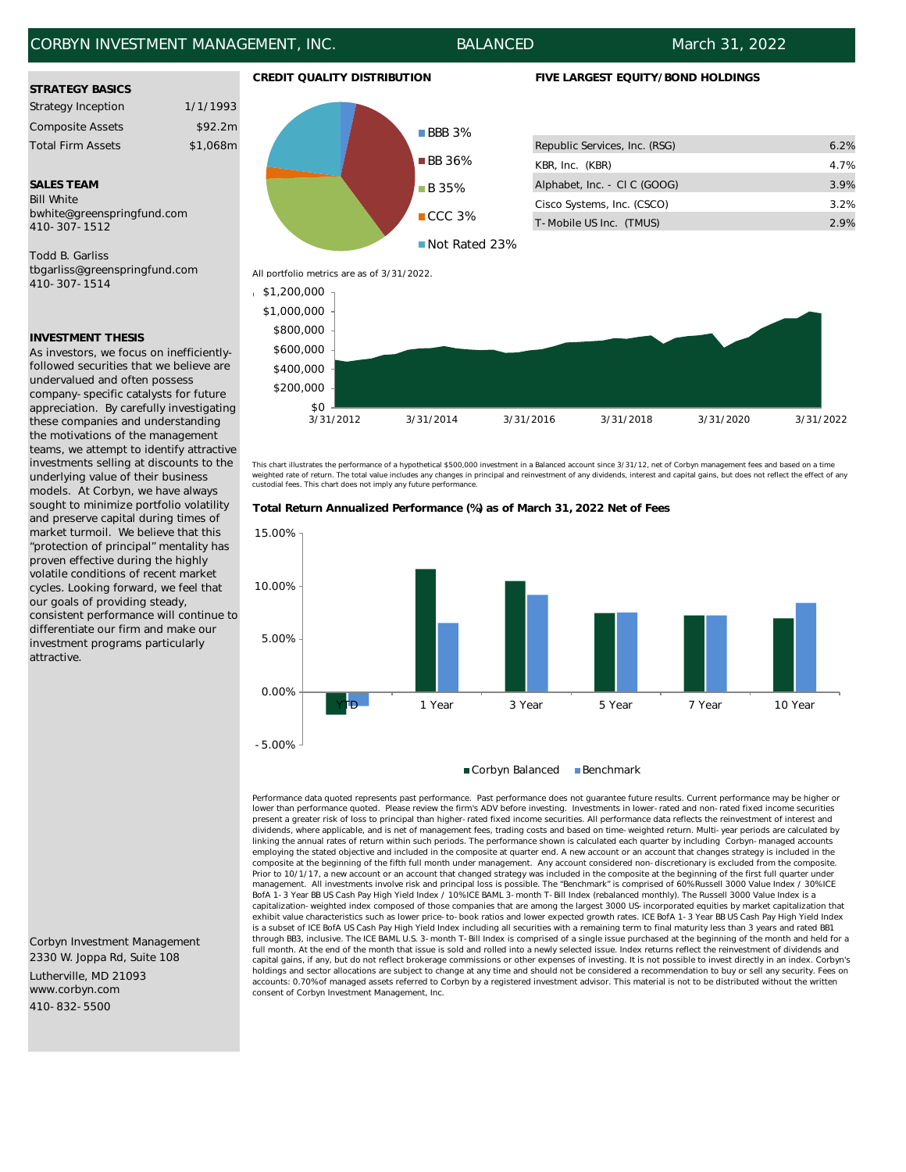## CORBYN INVESTMENT MANAGEMENT, INC. BALANCED March 31, 2022

### **STRATEGY BASICS**

Strategy Inception 1/1/1993 Composite Assets \$92.2m

Bill White bwhite@greenspringfund.com 410-307-1512

Todd B. Garliss tbgarliss@greenspringfund.com 410-307-1514

#### **INVESTMENT THESIS**

As investors, we focus on inefficientlyfollowed securities that we believe are undervalued and often possess company-specific catalysts for future appreciation. By carefully investigating these companies and understanding the motivations of the management teams, we attempt to identify attractive investments selling at discounts to the underlying value of their business models. At Corbyn, we have always sought to minimize portfolio volatility and preserve capital during times of market turmoil. We believe that this "protection of principal" mentality has proven effective during the highly volatile conditions of recent market cycles. Looking forward, we feel that our goals of providing steady, consistent performance will continue to differentiate our firm and make our investment programs particularly attractive.

Corbyn Investment Management 2330 W. Joppa Rd, Suite 108 410-832-5500 Lutherville, MD 21093 www.corbyn.com





#### **CREDIT QUALITY DISTRIBUTION FIVE LARGEST EQUITY/BOND HOLDINGS**

| <b>Total Firm Assets</b>                         | \$1,068m |  |                       | Republic Services, Inc. (RSG) | 6.2% |
|--------------------------------------------------|----------|--|-----------------------|-------------------------------|------|
|                                                  |          |  | <b>BB</b> 36%         | KBR, Inc. (KBR)               | 4.7% |
| <b>SALES TEAM</b>                                |          |  | <b>B</b> 35%          | Alphabet, Inc. - CI C (GOOG)  | 3.9% |
| <b>Bill White</b>                                |          |  |                       | Cisco Systems, Inc. (CSCO)    | 3.2% |
| bwhite@greenspringfund.com<br>$110 - 307 - 1512$ |          |  | $\blacksquare$ CCC 3% | T-Mobile US Inc. (TMUS)       | 2.9% |



This chart illustrates the performance of a hypothetical \$500,000 investment in a Balanced account since 3/31/12, net of Corbyn management fees and based on a time weighted rate of return. The total value includes any changes in principal and reinvestment of any dividends, interest and capital gains, but does not reflect the effect of any custodial fees. This chart does not imply any future performance.

#### **Total Return Annualized Performance (%) as of March 31, 2022 Net of Fees**



Performance data quoted represents past performance. Past performance does not guarantee future results. Current performance may be higher or lower than performance quoted. Please review the firm's ADV before investing. Investments in lower-rated and non-rated fixed income securities present a greater risk of loss to principal than higher-rated fixed income securities. All performance data reflects the reinvestment of interest and dividends, where applicable, and is net of management fees, trading costs and based on time-weighted return. Multi-year periods are calculated by linking the annual rates of return within such periods. The performance shown is calculated each quarter by including Corbyn-managed accounts employing the stated objective and included in the composite at quarter end. A new account or an account that changes strategy is included in the composite at the beginning of the fifth full month under management. Any account considered non-discretionary is excluded from the composite. Prior to 10/1/17, a new account or an account that changed strategy was included in the composite at the beginning of the first full quarter under management. All investments involve risk and principal loss is possible. The "Benchmark" is comprised of 60% Russell 3000 Value Index / 30% ICE<br>BofA 1-3 Year BB US Cash Pay High Yield Index / 10% ICE BAML 3-month T-Bill I capitalization-weighted index composed of those companies that are among the largest 3000 US-incorporated equities by market capitalization that exhibit value characteristics such as lower price-to-book ratios and lower expected growth rates. ICE BofA 1-3 Year BB US Cash Pay High Yield Index is a subset of ICE BofA US Cash Pay High Yield Index including all securities with a remaining term to final maturity less than 3 years and rated BB1<br>through BB3, inclusive. The ICE BAML U.S. 3-month T-Bill Index is compri full month. At the end of the month that issue is sold and rolled into a newly selected issue. Index returns reflect the reinvestment of dividends and capital gains, if any, but do not reflect brokerage commissions or other expenses of investing. It is not possible to invest directly in an index. Corbyn's holdings and sector allocations are subject to change at any time and should not be considered a recommendation to buy or sell any security. Fees on accounts: 0.70% of managed assets referred to Corbyn by a registered investment advisor. This material is not to be distributed without the written consent of Corbyn Investment Management, Inc.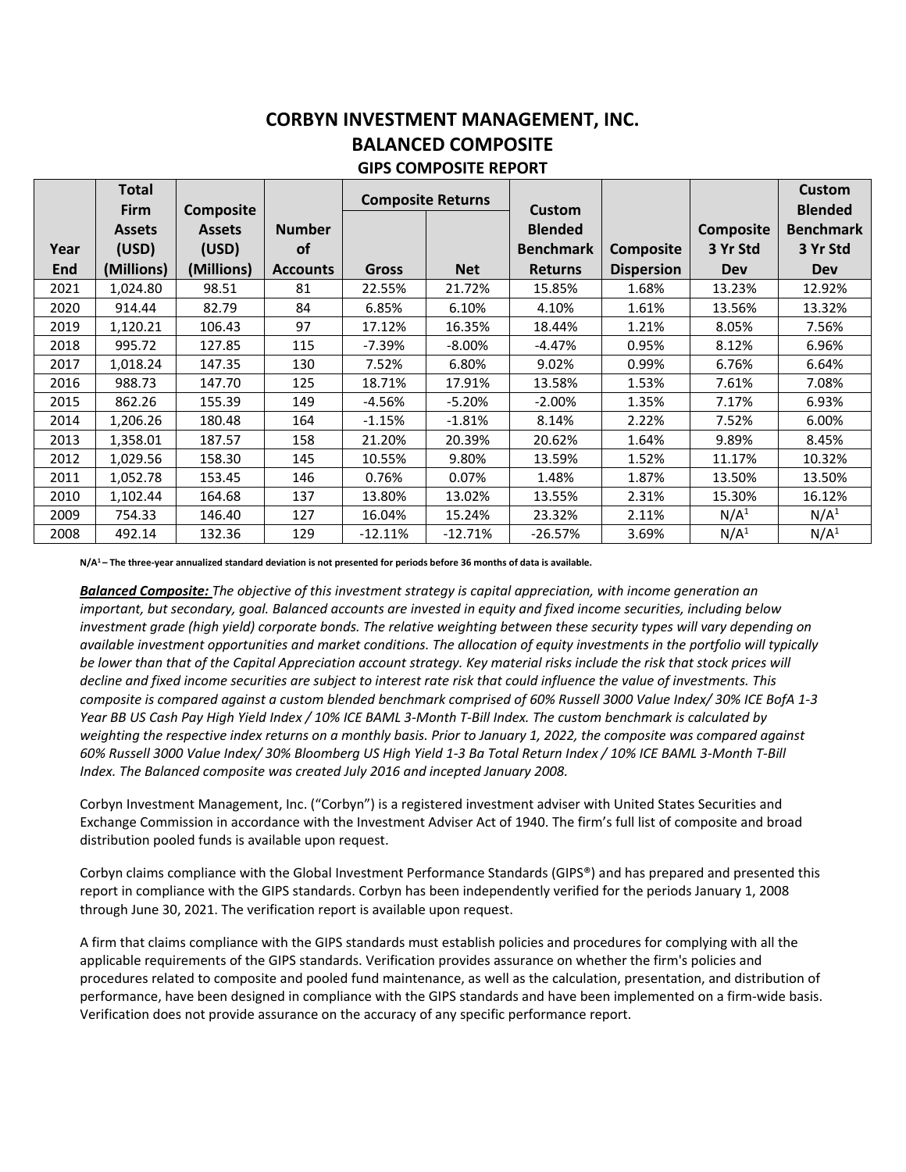## **CORBYN INVESTMENT MANAGEMENT, INC. BALANCED COMPOSITE GIPS COMPOSITE REPORT**

|      | <b>Total</b><br><b>Firm</b> | <b>Composite</b> |                 |              | <b>Composite Returns</b> | <b>Custom</b>    |                   |                  | <b>Custom</b><br><b>Blended</b> |
|------|-----------------------------|------------------|-----------------|--------------|--------------------------|------------------|-------------------|------------------|---------------------------------|
|      | <b>Assets</b>               | <b>Assets</b>    | <b>Number</b>   |              |                          | <b>Blended</b>   |                   | <b>Composite</b> | <b>Benchmark</b>                |
| Year | (USD)                       | (USD)            | <b>of</b>       |              |                          | <b>Benchmark</b> | Composite         | 3 Yr Std         | 3 Yr Std                        |
| End  | (Millions)                  | (Millions)       | <b>Accounts</b> | <b>Gross</b> | <b>Net</b>               | <b>Returns</b>   | <b>Dispersion</b> | <b>Dev</b>       | <b>Dev</b>                      |
| 2021 | 1,024.80                    | 98.51            | 81              | 22.55%       | 21.72%                   | 15.85%           | 1.68%             | 13.23%           | 12.92%                          |
| 2020 | 914.44                      | 82.79            | 84              | 6.85%        | 6.10%                    | 4.10%            | 1.61%             | 13.56%           | 13.32%                          |
| 2019 | 1,120.21                    | 106.43           | 97              | 17.12%       | 16.35%                   | 18.44%           | 1.21%             | 8.05%            | 7.56%                           |
| 2018 | 995.72                      | 127.85           | 115             | $-7.39%$     | $-8.00\%$                | $-4.47%$         | 0.95%             | 8.12%            | 6.96%                           |
| 2017 | 1,018.24                    | 147.35           | 130             | 7.52%        | 6.80%                    | 9.02%            | 0.99%             | 6.76%            | 6.64%                           |
| 2016 | 988.73                      | 147.70           | 125             | 18.71%       | 17.91%                   | 13.58%           | 1.53%             | 7.61%            | 7.08%                           |
| 2015 | 862.26                      | 155.39           | 149             | $-4.56%$     | $-5.20%$                 | $-2.00%$         | 1.35%             | 7.17%            | 6.93%                           |
| 2014 | 1,206.26                    | 180.48           | 164             | $-1.15%$     | $-1.81%$                 | 8.14%            | 2.22%             | 7.52%            | 6.00%                           |
| 2013 | 1,358.01                    | 187.57           | 158             | 21.20%       | 20.39%                   | 20.62%           | 1.64%             | 9.89%            | 8.45%                           |
| 2012 | 1,029.56                    | 158.30           | 145             | 10.55%       | 9.80%                    | 13.59%           | 1.52%             | 11.17%           | 10.32%                          |
| 2011 | 1,052.78                    | 153.45           | 146             | 0.76%        | 0.07%                    | 1.48%            | 1.87%             | 13.50%           | 13.50%                          |
| 2010 | 1,102.44                    | 164.68           | 137             | 13.80%       | 13.02%                   | 13.55%           | 2.31%             | 15.30%           | 16.12%                          |
| 2009 | 754.33                      | 146.40           | 127             | 16.04%       | 15.24%                   | 23.32%           | 2.11%             | N/A <sup>1</sup> | N/A <sup>1</sup>                |
| 2008 | 492.14                      | 132.36           | 129             | -12.11%      | $-12.71%$                | -26.57%          | 3.69%             | N/A <sup>1</sup> | N/A <sup>1</sup>                |

**N/A1 – The three-year annualized standard deviation is not presented for periods before 36 months of data is available.** 

*Balanced Composite: The objective of this investment strategy is capital appreciation, with income generation an important, but secondary, goal. Balanced accounts are invested in equity and fixed income securities, including below investment grade (high yield) corporate bonds. The relative weighting between these security types will vary depending on available investment opportunities and market conditions. The allocation of equity investments in the portfolio will typically be lower than that of the Capital Appreciation account strategy. Key material risks include the risk that stock prices will decline and fixed income securities are subject to interest rate risk that could influence the value of investments. This composite is compared against a custom blended benchmark comprised of 60% Russell 3000 Value Index/ 30% ICE BofA 1-3 Year BB US Cash Pay High Yield Index / 10% ICE BAML 3-Month T-Bill Index. The custom benchmark is calculated by weighting the respective index returns on a monthly basis. Prior to January 1, 2022, the composite was compared against 60% Russell 3000 Value Index/ 30% Bloomberg US High Yield 1-3 Ba Total Return Index / 10% ICE BAML 3-Month T-Bill Index. The Balanced composite was created July 2016 and incepted January 2008.* 

Corbyn Investment Management, Inc. ("Corbyn") is a registered investment adviser with United States Securities and Exchange Commission in accordance with the Investment Adviser Act of 1940. The firm's full list of composite and broad distribution pooled funds is available upon request.

Corbyn claims compliance with the Global Investment Performance Standards (GIPS®) and has prepared and presented this report in compliance with the GIPS standards. Corbyn has been independently verified for the periods January 1, 2008 through June 30, 2021. The verification report is available upon request.

A firm that claims compliance with the GIPS standards must establish policies and procedures for complying with all the applicable requirements of the GIPS standards. Verification provides assurance on whether the firm's policies and procedures related to composite and pooled fund maintenance, as well as the calculation, presentation, and distribution of performance, have been designed in compliance with the GIPS standards and have been implemented on a firm-wide basis. Verification does not provide assurance on the accuracy of any specific performance report.